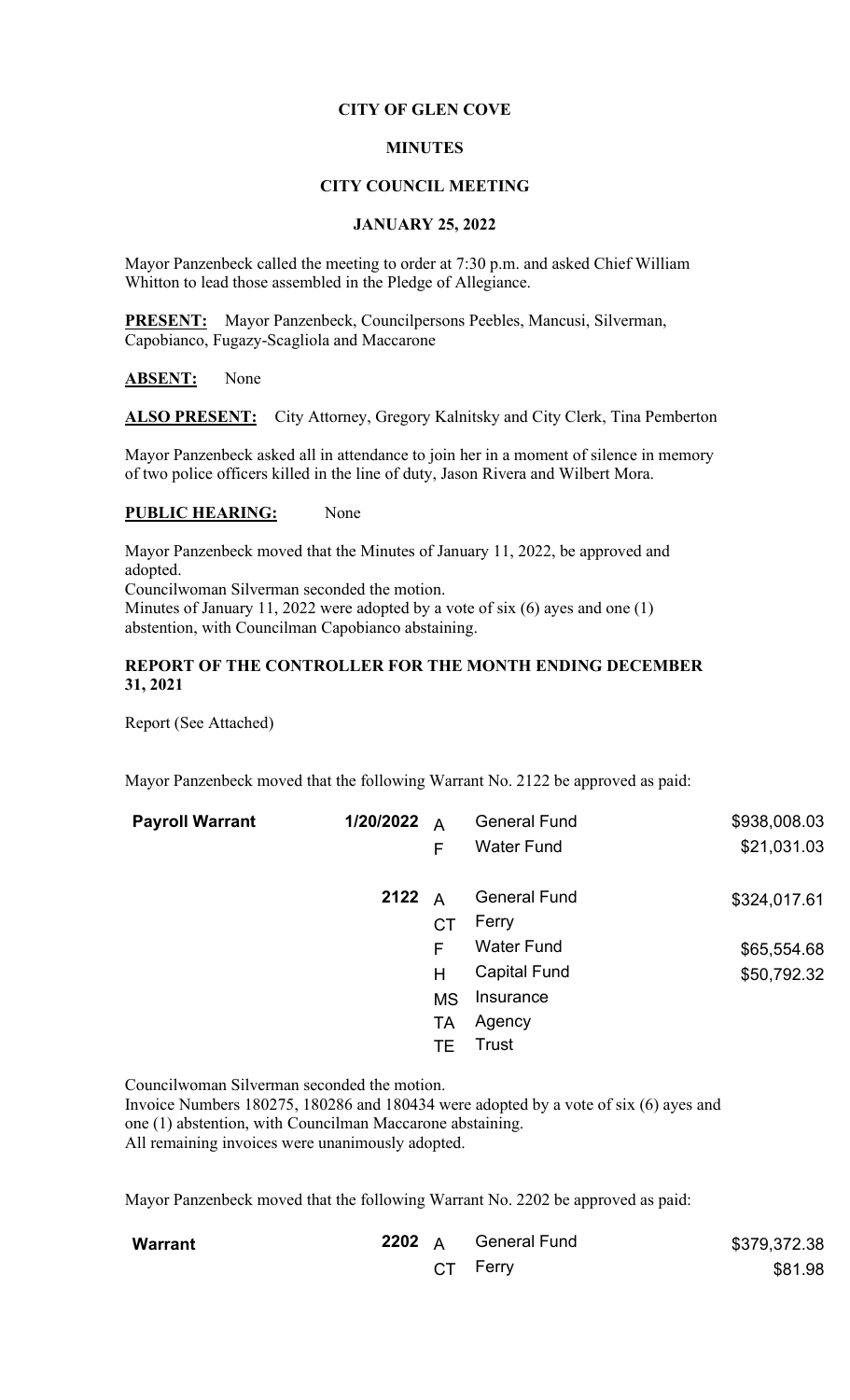# **CITY OF GLEN COVE**

# **MINUTES**

## **CITY COUNCIL MEETING**

### **JANUARY 25, 2022**

Mayor Panzenbeck called the meeting to order at 7:30 p.m. and asked Chief William Whitton to lead those assembled in the Pledge of Allegiance.

**PRESENT:** Mayor Panzenbeck, Councilpersons Peebles, Mancusi, Silverman, Capobianco, Fugazy-Scagliola and Maccarone

### **ABSENT:** None

ALSO PRESENT: City Attorney, Gregory Kalnitsky and City Clerk, Tina Pemberton

Mayor Panzenbeck asked all in attendance to join her in a moment of silence in memory of two police officers killed in the line of duty, Jason Rivera and Wilbert Mora.

## **PUBLIC HEARING:** None

Mayor Panzenbeck moved that the Minutes of January 11, 2022, be approved and adopted.

Councilwoman Silverman seconded the motion.

Minutes of January 11, 2022 were adopted by a vote of six (6) ayes and one (1) abstention, with Councilman Capobianco abstaining.

## **REPORT OF THE CONTROLLER FOR THE MONTH ENDING DECEMBER 31, 2021**

Report (See Attached)

Mayor Panzenbeck moved that the following Warrant No. 2122 be approved as paid:

| <b>Payroll Warrant</b> | 1/20/2022 | $\overline{A}$ | <b>General Fund</b> | \$938,008.03 |
|------------------------|-----------|----------------|---------------------|--------------|
|                        |           | F              | <b>Water Fund</b>   | \$21,031.03  |
|                        | 2122      | $\overline{A}$ | <b>General Fund</b> | \$324,017.61 |
|                        |           | СT             | Ferry               |              |
|                        |           | F              | <b>Water Fund</b>   | \$65,554.68  |
|                        |           | H              | <b>Capital Fund</b> | \$50,792.32  |
|                        |           | <b>MS</b>      | Insurance           |              |
|                        |           | <b>TA</b>      | Agency              |              |
|                        |           | TЕ             | Trust               |              |

Councilwoman Silverman seconded the motion.

Invoice Numbers 180275, 180286 and 180434 were adopted by a vote of six (6) ayes and one (1) abstention, with Councilman Maccarone abstaining. All remaining invoices were unanimously adopted.

Mayor Panzenbeck moved that the following Warrant No. 2202 be approved as paid:

| <b>Warrant</b> |  | 2202 A General Fund | \$379,372.38 |
|----------------|--|---------------------|--------------|
|                |  | CT Ferry            | \$81.98      |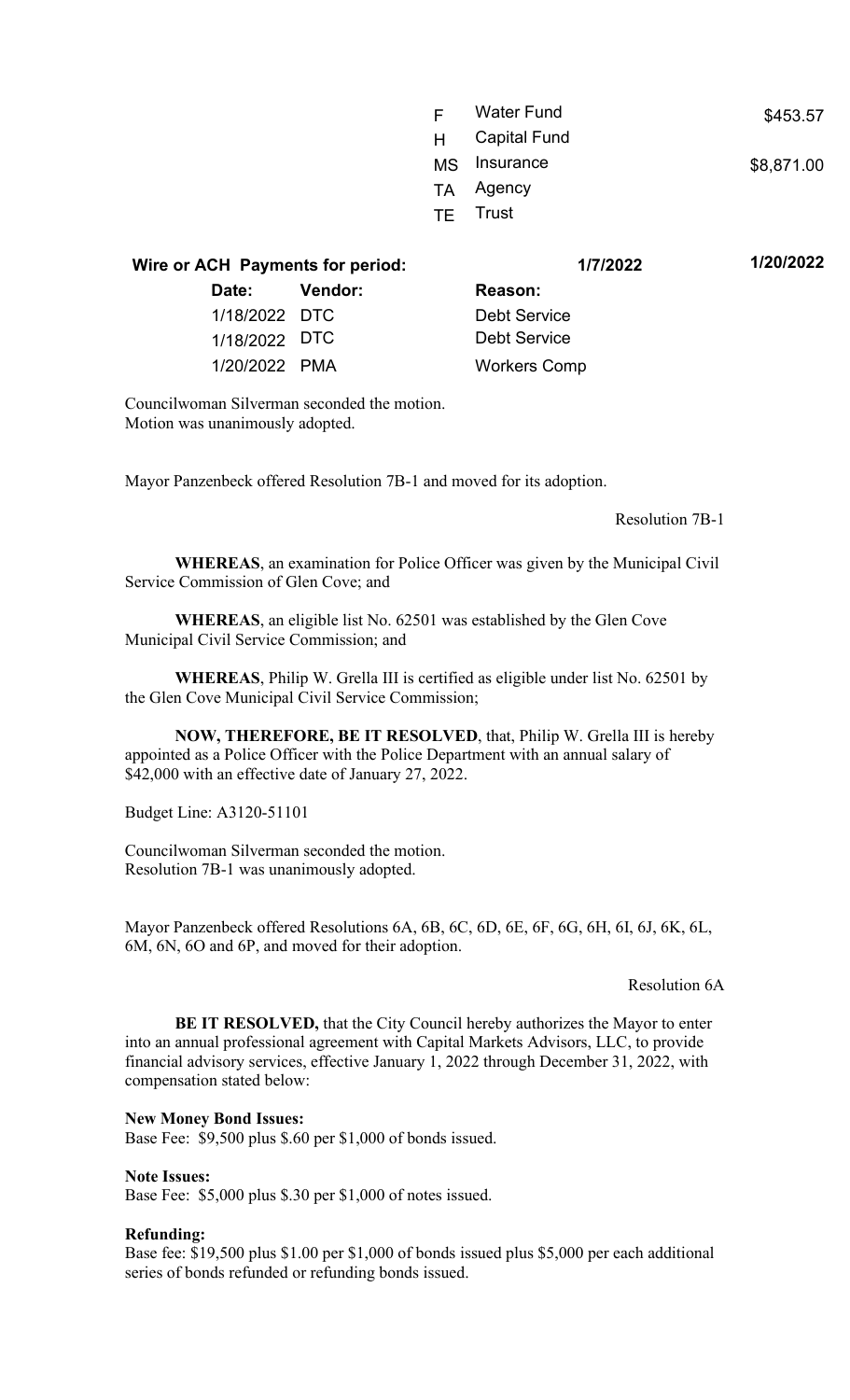| E. | <b>Water Fund</b>   | \$453.57   |
|----|---------------------|------------|
| H  | <b>Capital Fund</b> |            |
|    | MS Insurance        | \$8,871.00 |
|    | TA Agency           |            |
|    | <b>TF</b> Trust     |            |
|    |                     |            |

**Wire or ACH Payments for period: 1/7/2022 1/20/2022 Date: Vendor: Reason:** 1/18/2022 DTC Debt Service 1/18/2022 DTC Debt Service 1/20/2022 PMA Workers Comp

Councilwoman Silverman seconded the motion. Motion was unanimously adopted.

Mayor Panzenbeck offered Resolution 7B-1 and moved for its adoption.

Resolution 7B-1

**WHEREAS**, an examination for Police Officer was given by the Municipal Civil Service Commission of Glen Cove; and

**WHEREAS**, an eligible list No. 62501 was established by the Glen Cove Municipal Civil Service Commission; and

**WHEREAS**, Philip W. Grella III is certified as eligible under list No. 62501 by the Glen Cove Municipal Civil Service Commission;

**NOW, THEREFORE, BE IT RESOLVED**, that, Philip W. Grella III is hereby appointed as a Police Officer with the Police Department with an annual salary of \$42,000 with an effective date of January 27, 2022.

Budget Line: A3120-51101

Councilwoman Silverman seconded the motion. Resolution 7B-1 was unanimously adopted.

Mayor Panzenbeck offered Resolutions 6A, 6B, 6C, 6D, 6E, 6F, 6G, 6H, 6I, 6J, 6K, 6L, 6M, 6N, 6O and 6P, and moved for their adoption.

Resolution 6A

**BE IT RESOLVED,** that the City Council hereby authorizes the Mayor to enter into an annual professional agreement with Capital Markets Advisors, LLC, to provide financial advisory services, effective January 1, 2022 through December 31, 2022, with compensation stated below:

#### **New Money Bond Issues:**

Base Fee: \$9,500 plus \$.60 per \$1,000 of bonds issued.

**Note Issues:**

Base Fee: \$5,000 plus \$.30 per \$1,000 of notes issued.

#### **Refunding:**

Base fee: \$19,500 plus \$1.00 per \$1,000 of bonds issued plus \$5,000 per each additional series of bonds refunded or refunding bonds issued.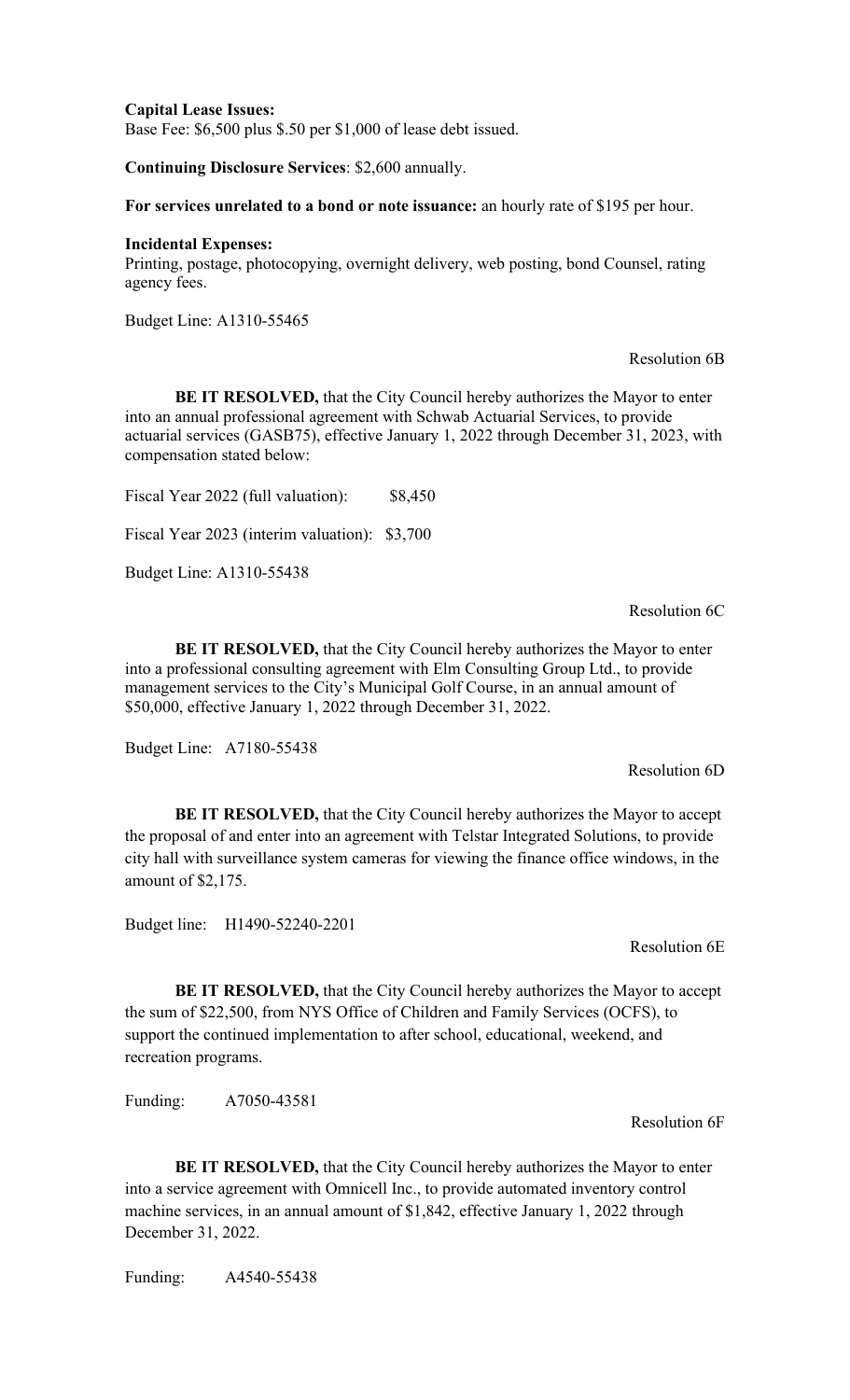**Capital Lease Issues:** Base Fee: \$6,500 plus \$.50 per \$1,000 of lease debt issued.

**Continuing Disclosure Services**: \$2,600 annually.

**For services unrelated to a bond or note issuance:** an hourly rate of \$195 per hour.

#### **Incidental Expenses:**

Printing, postage, photocopying, overnight delivery, web posting, bond Counsel, rating agency fees.

Budget Line: A1310-55465

#### Resolution 6B

**BE IT RESOLVED,** that the City Council hereby authorizes the Mayor to enter into an annual professional agreement with Schwab Actuarial Services, to provide actuarial services (GASB75), effective January 1, 2022 through December 31, 2023, with compensation stated below:

Fiscal Year 2022 (full valuation): \$8,450

Fiscal Year 2023 (interim valuation): \$3,700

Budget Line: A1310-55438

Resolution 6C

Resolution 6D

**BE IT RESOLVED,** that the City Council hereby authorizes the Mayor to enter into a professional consulting agreement with Elm Consulting Group Ltd., to provide management services to the City's Municipal Golf Course, in an annual amount of \$50,000, effective January 1, 2022 through December 31, 2022.

Budget Line: A7180-55438

**BE IT RESOLVED,** that the City Council hereby authorizes the Mayor to accept the proposal of and enter into an agreement with Telstar Integrated Solutions, to provide city hall with surveillance system cameras for viewing the finance office windows, in the amount of \$2,175.

Budget line: H1490-52240-2201

Resolution 6E

**BE IT RESOLVED,** that the City Council hereby authorizes the Mayor to accept the sum of \$22,500, from NYS Office of Children and Family Services (OCFS), to support the continued implementation to after school, educational, weekend, and recreation programs.

Funding: A7050-43581

Resolution 6F

**BE IT RESOLVED,** that the City Council hereby authorizes the Mayor to enter into a service agreement with Omnicell Inc., to provide automated inventory control machine services, in an annual amount of \$1,842, effective January 1, 2022 through December 31, 2022.

Funding: A4540-55438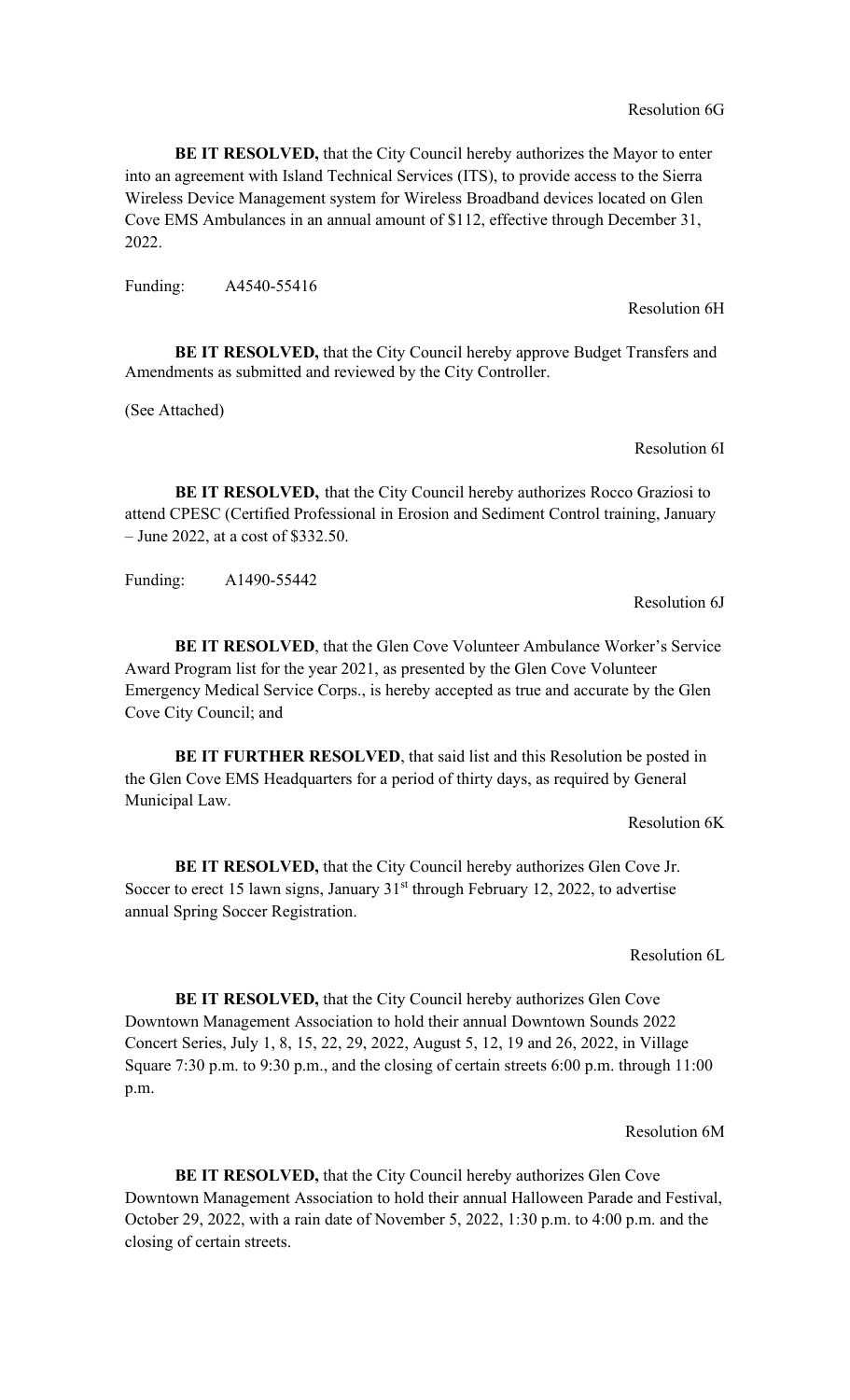**BE IT RESOLVED,** that the City Council hereby authorizes the Mayor to enter into an agreement with Island Technical Services (ITS), to provide access to the Sierra Wireless Device Management system for Wireless Broadband devices located on Glen Cove EMS Ambulances in an annual amount of \$112, effective through December 31, 2022.

Funding: A4540-55416

**BE IT RESOLVED,** that the City Council hereby approve Budget Transfers and Amendments as submitted and reviewed by the City Controller.

(See Attached)

Resolution 6I

**BE IT RESOLVED,** that the City Council hereby authorizes Rocco Graziosi to attend CPESC (Certified Professional in Erosion and Sediment Control training, January – June 2022, at a cost of \$332.50.

Funding: A1490-55442

Resolution 6J

**BE IT RESOLVED**, that the Glen Cove Volunteer Ambulance Worker's Service Award Program list for the year 2021, as presented by the Glen Cove Volunteer Emergency Medical Service Corps., is hereby accepted as true and accurate by the Glen Cove City Council; and

**BE IT FURTHER RESOLVED**, that said list and this Resolution be posted in the Glen Cove EMS Headquarters for a period of thirty days, as required by General Municipal Law.

Resolution 6K

**BE IT RESOLVED,** that the City Council hereby authorizes Glen Cove Jr. Soccer to erect 15 lawn signs, January  $31<sup>st</sup>$  through February 12, 2022, to advertise annual Spring Soccer Registration.

Resolution 6L

**BE IT RESOLVED,** that the City Council hereby authorizes Glen Cove Downtown Management Association to hold their annual Downtown Sounds 2022 Concert Series, July 1, 8, 15, 22, 29, 2022, August 5, 12, 19 and 26, 2022, in Village Square 7:30 p.m. to 9:30 p.m., and the closing of certain streets 6:00 p.m. through 11:00 p.m.

Resolution 6M

**BE IT RESOLVED,** that the City Council hereby authorizes Glen Cove Downtown Management Association to hold their annual Halloween Parade and Festival, October 29, 2022, with a rain date of November 5, 2022, 1:30 p.m. to 4:00 p.m. and the closing of certain streets.

Resolution 6G

Resolution 6H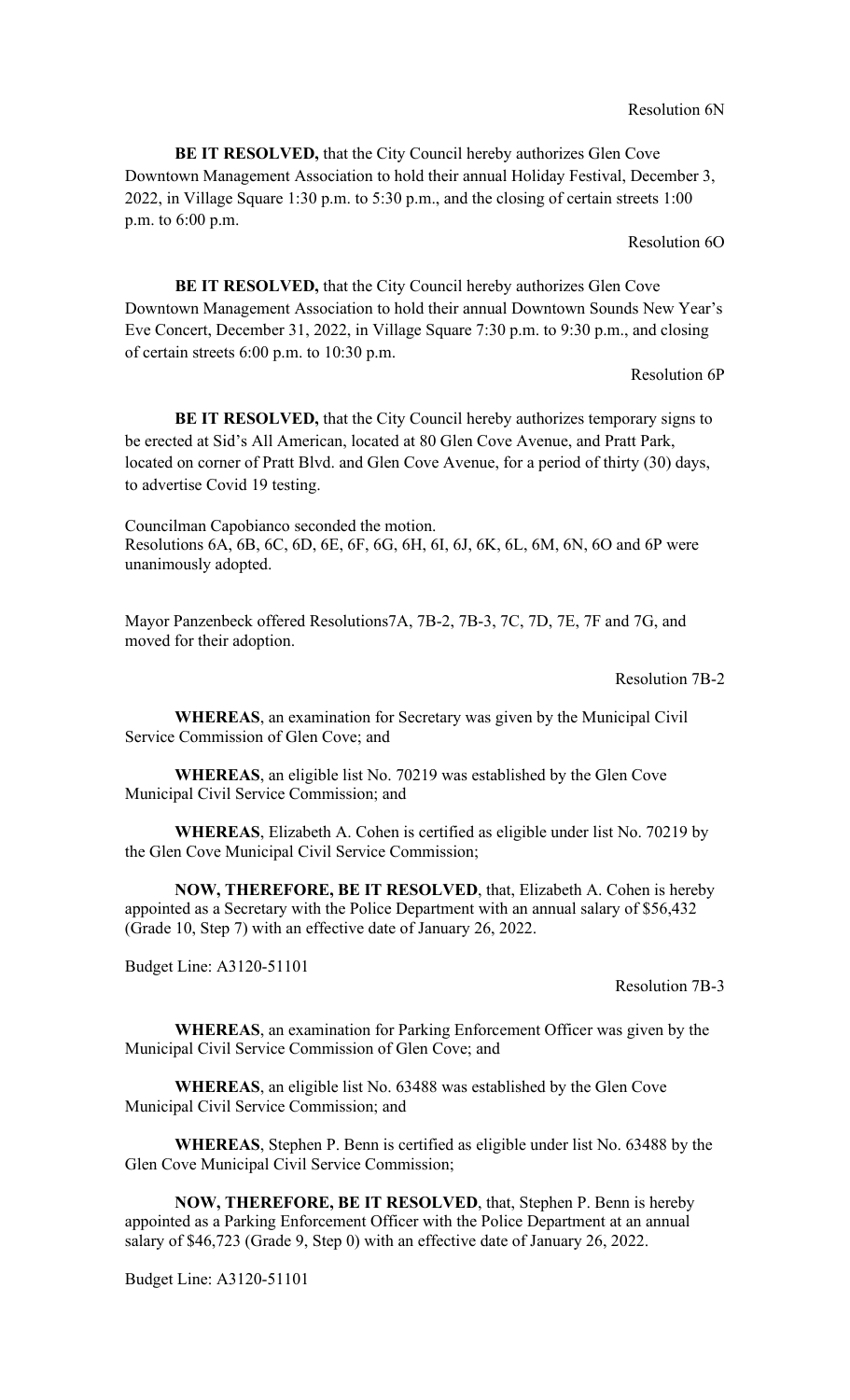**BE IT RESOLVED, that the City Council hereby authorizes Glen Cove** Downtown Management Association to hold their annual Holiday Festival, December 3, 2022, in Village Square 1:30 p.m. to 5:30 p.m., and the closing of certain streets 1:00 p.m. to 6:00 p.m.

Resolution 6O

**BE IT RESOLVED,** that the City Council hereby authorizes Glen Cove Downtown Management Association to hold their annual Downtown Sounds New Year's Eve Concert, December 31, 2022, in Village Square 7:30 p.m. to 9:30 p.m., and closing of certain streets 6:00 p.m. to 10:30 p.m.

Resolution 6P

**BE IT RESOLVED,** that the City Council hereby authorizes temporary signs to be erected at Sid's All American, located at 80 Glen Cove Avenue, and Pratt Park, located on corner of Pratt Blvd. and Glen Cove Avenue, for a period of thirty (30) days, to advertise Covid 19 testing.

Councilman Capobianco seconded the motion. Resolutions 6A, 6B, 6C, 6D, 6E, 6F, 6G, 6H, 6I, 6J, 6K, 6L, 6M, 6N, 6O and 6P were unanimously adopted.

Mayor Panzenbeck offered Resolutions7A, 7B-2, 7B-3, 7C, 7D, 7E, 7F and 7G, and moved for their adoption.

Resolution 7B-2

**WHEREAS**, an examination for Secretary was given by the Municipal Civil Service Commission of Glen Cove; and

**WHEREAS**, an eligible list No. 70219 was established by the Glen Cove Municipal Civil Service Commission; and

**WHEREAS**, Elizabeth A. Cohen is certified as eligible under list No. 70219 by the Glen Cove Municipal Civil Service Commission;

**NOW, THEREFORE, BE IT RESOLVED**, that, Elizabeth A. Cohen is hereby appointed as a Secretary with the Police Department with an annual salary of \$56,432 (Grade 10, Step 7) with an effective date of January 26, 2022.

Budget Line: A3120-51101

Resolution 7B-3

**WHEREAS**, an examination for Parking Enforcement Officer was given by the Municipal Civil Service Commission of Glen Cove; and

**WHEREAS**, an eligible list No. 63488 was established by the Glen Cove Municipal Civil Service Commission; and

**WHEREAS**, Stephen P. Benn is certified as eligible under list No. 63488 by the Glen Cove Municipal Civil Service Commission;

**NOW, THEREFORE, BE IT RESOLVED**, that, Stephen P. Benn is hereby appointed as a Parking Enforcement Officer with the Police Department at an annual salary of \$46,723 (Grade 9, Step 0) with an effective date of January 26, 2022.

Budget Line: A3120-51101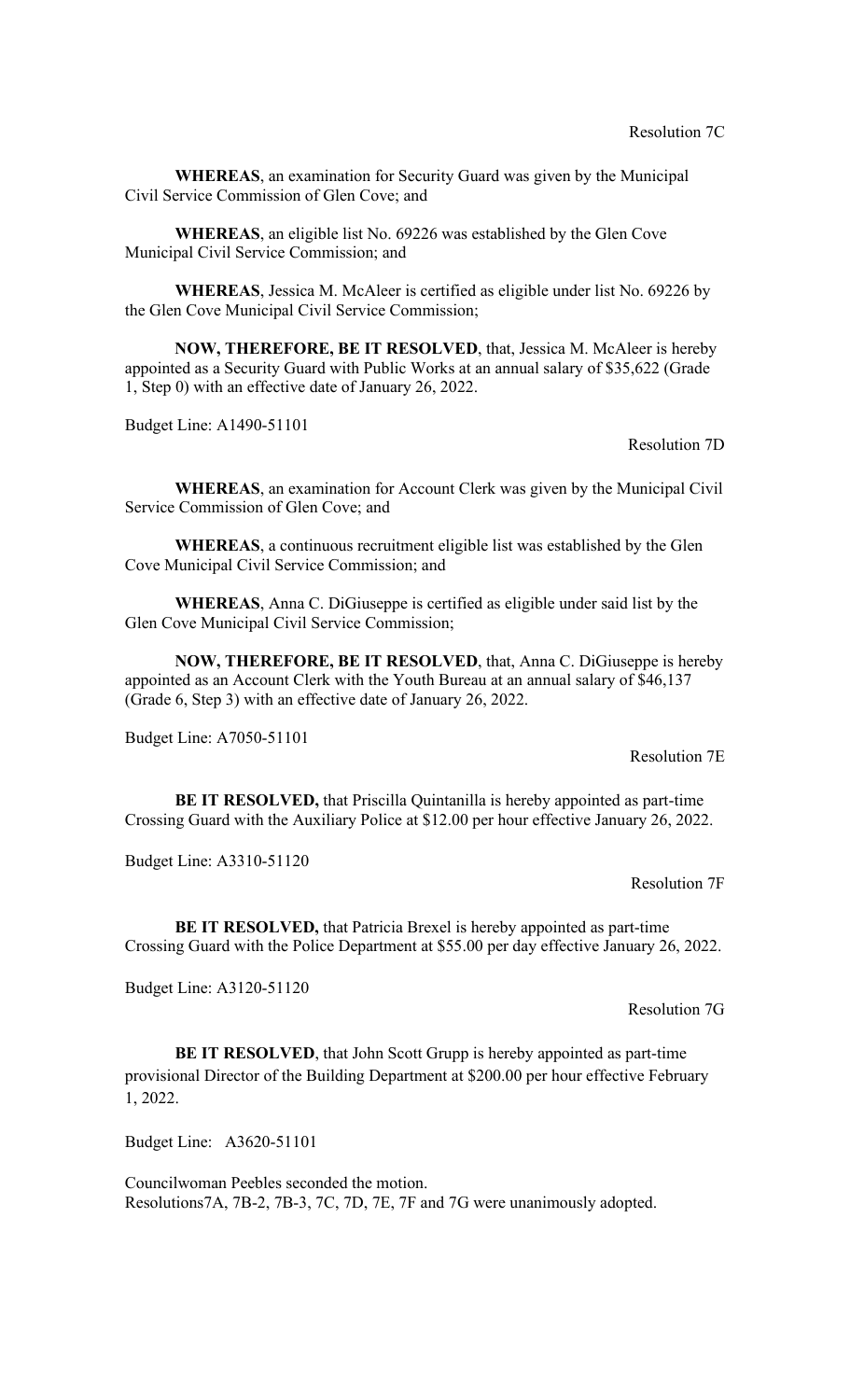**WHEREAS**, an examination for Security Guard was given by the Municipal Civil Service Commission of Glen Cove; and

**WHEREAS**, an eligible list No. 69226 was established by the Glen Cove Municipal Civil Service Commission; and

**WHEREAS**, Jessica M. McAleer is certified as eligible under list No. 69226 by the Glen Cove Municipal Civil Service Commission;

**NOW, THEREFORE, BE IT RESOLVED**, that, Jessica M. McAleer is hereby appointed as a Security Guard with Public Works at an annual salary of \$35,622 (Grade 1, Step 0) with an effective date of January 26, 2022.

Budget Line: A1490-51101

Resolution 7D

**WHEREAS**, an examination for Account Clerk was given by the Municipal Civil Service Commission of Glen Cove; and

**WHEREAS**, a continuous recruitment eligible list was established by the Glen Cove Municipal Civil Service Commission; and

**WHEREAS**, Anna C. DiGiuseppe is certified as eligible under said list by the Glen Cove Municipal Civil Service Commission;

**NOW, THEREFORE, BE IT RESOLVED**, that, Anna C. DiGiuseppe is hereby appointed as an Account Clerk with the Youth Bureau at an annual salary of \$46,137 (Grade 6, Step 3) with an effective date of January 26, 2022.

Budget Line: A7050-51101

Resolution 7E

**BE IT RESOLVED,** that Priscilla Quintanilla is hereby appointed as part-time Crossing Guard with the Auxiliary Police at \$12.00 per hour effective January 26, 2022.

Budget Line: A3310-51120

Resolution 7F

**BE IT RESOLVED,** that Patricia Brexel is hereby appointed as part-time Crossing Guard with the Police Department at \$55.00 per day effective January 26, 2022.

Budget Line: A3120-51120

Resolution 7G

**BE IT RESOLVED**, that John Scott Grupp is hereby appointed as part-time provisional Director of the Building Department at \$200.00 per hour effective February 1, 2022.

Budget Line: A3620-51101

Councilwoman Peebles seconded the motion. Resolutions7A, 7B-2, 7B-3, 7C, 7D, 7E, 7F and 7G were unanimously adopted.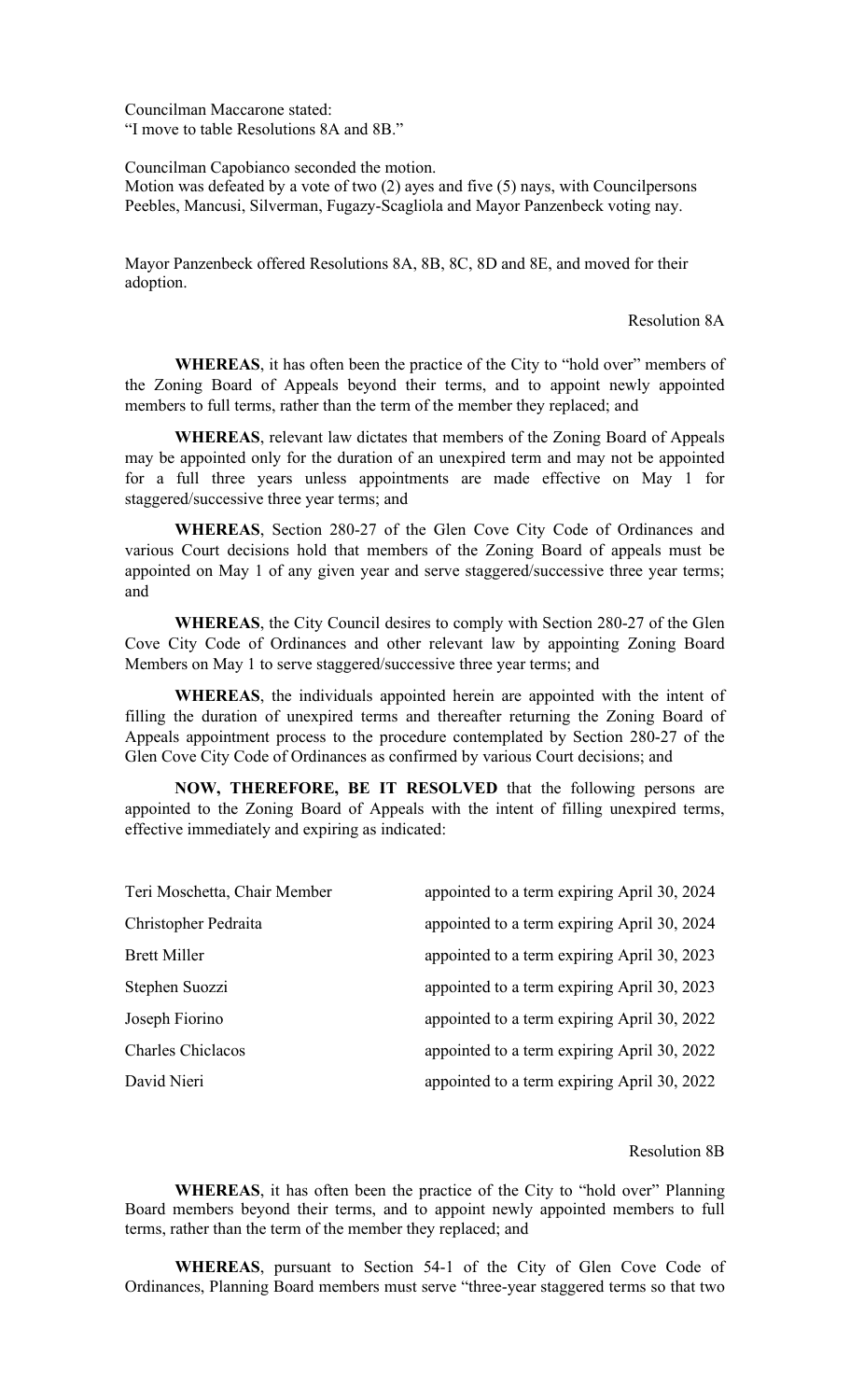Councilman Maccarone stated: "I move to table Resolutions 8A and 8B."

Councilman Capobianco seconded the motion.

Motion was defeated by a vote of two (2) ayes and five (5) nays, with Councilpersons Peebles, Mancusi, Silverman, Fugazy-Scagliola and Mayor Panzenbeck voting nay.

Mayor Panzenbeck offered Resolutions 8A, 8B, 8C, 8D and 8E, and moved for their adoption.

### Resolution 8A

**WHEREAS**, it has often been the practice of the City to "hold over" members of the Zoning Board of Appeals beyond their terms, and to appoint newly appointed members to full terms, rather than the term of the member they replaced; and

**WHEREAS**, relevant law dictates that members of the Zoning Board of Appeals may be appointed only for the duration of an unexpired term and may not be appointed for a full three years unless appointments are made effective on May 1 for staggered/successive three year terms; and

**WHEREAS**, Section 280-27 of the Glen Cove City Code of Ordinances and various Court decisions hold that members of the Zoning Board of appeals must be appointed on May 1 of any given year and serve staggered/successive three year terms; and

**WHEREAS**, the City Council desires to comply with Section 280-27 of the Glen Cove City Code of Ordinances and other relevant law by appointing Zoning Board Members on May 1 to serve staggered/successive three year terms; and

**WHEREAS**, the individuals appointed herein are appointed with the intent of filling the duration of unexpired terms and thereafter returning the Zoning Board of Appeals appointment process to the procedure contemplated by Section 280-27 of the Glen Cove City Code of Ordinances as confirmed by various Court decisions; and

**NOW, THEREFORE, BE IT RESOLVED** that the following persons are appointed to the Zoning Board of Appeals with the intent of filling unexpired terms, effective immediately and expiring as indicated:

| Teri Moschetta, Chair Member | appointed to a term expiring April 30, 2024 |
|------------------------------|---------------------------------------------|
| Christopher Pedraita         | appointed to a term expiring April 30, 2024 |
| <b>Brett Miller</b>          | appointed to a term expiring April 30, 2023 |
| Stephen Suozzi               | appointed to a term expiring April 30, 2023 |
| Joseph Fiorino               | appointed to a term expiring April 30, 2022 |
| <b>Charles Chiclacos</b>     | appointed to a term expiring April 30, 2022 |
| David Nieri                  | appointed to a term expiring April 30, 2022 |

#### Resolution 8B

**WHEREAS**, it has often been the practice of the City to "hold over" Planning Board members beyond their terms, and to appoint newly appointed members to full terms, rather than the term of the member they replaced; and

**WHEREAS**, pursuant to Section 54-1 of the City of Glen Cove Code of Ordinances, Planning Board members must serve "three-year staggered terms so that two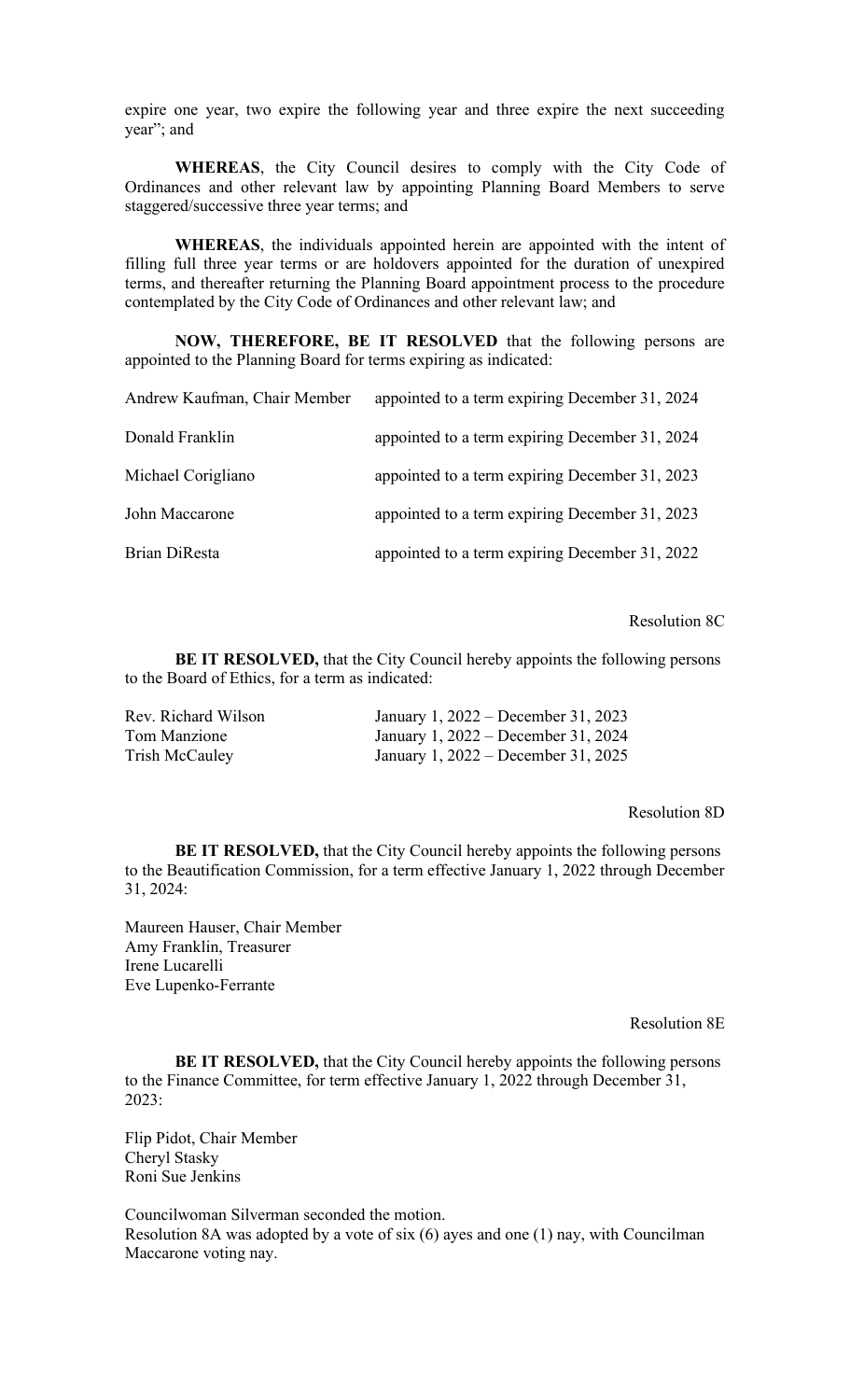expire one year, two expire the following year and three expire the next succeeding year"; and

**WHEREAS**, the City Council desires to comply with the City Code of Ordinances and other relevant law by appointing Planning Board Members to serve staggered/successive three year terms; and

**WHEREAS**, the individuals appointed herein are appointed with the intent of filling full three year terms or are holdovers appointed for the duration of unexpired terms, and thereafter returning the Planning Board appointment process to the procedure contemplated by the City Code of Ordinances and other relevant law; and

**NOW, THEREFORE, BE IT RESOLVED** that the following persons are appointed to the Planning Board for terms expiring as indicated:

| Andrew Kaufman, Chair Member | appointed to a term expiring December 31, 2024 |
|------------------------------|------------------------------------------------|
| Donald Franklin              | appointed to a term expiring December 31, 2024 |
| Michael Corigliano           | appointed to a term expiring December 31, 2023 |
| John Maccarone               | appointed to a term expiring December 31, 2023 |
| Brian DiResta                | appointed to a term expiring December 31, 2022 |

Resolution 8C

**BE IT RESOLVED,** that the City Council hereby appoints the following persons to the Board of Ethics, for a term as indicated:

| Rev. Richard Wilson | January 1, 2022 – December 31, 2023 |
|---------------------|-------------------------------------|
| Tom Manzione        | January 1, 2022 – December 31, 2024 |
| Trish McCauley      | January 1, 2022 – December 31, 2025 |

Resolution 8D

**BE IT RESOLVED,** that the City Council hereby appoints the following persons to the Beautification Commission, for a term effective January 1, 2022 through December 31, 2024:

Maureen Hauser, Chair Member Amy Franklin, Treasurer Irene Lucarelli Eve Lupenko-Ferrante

Resolution 8E

**BE IT RESOLVED,** that the City Council hereby appoints the following persons to the Finance Committee, for term effective January 1, 2022 through December 31, 2023:

Flip Pidot, Chair Member Cheryl Stasky Roni Sue Jenkins

Councilwoman Silverman seconded the motion. Resolution 8A was adopted by a vote of six (6) ayes and one (1) nay, with Councilman Maccarone voting nay.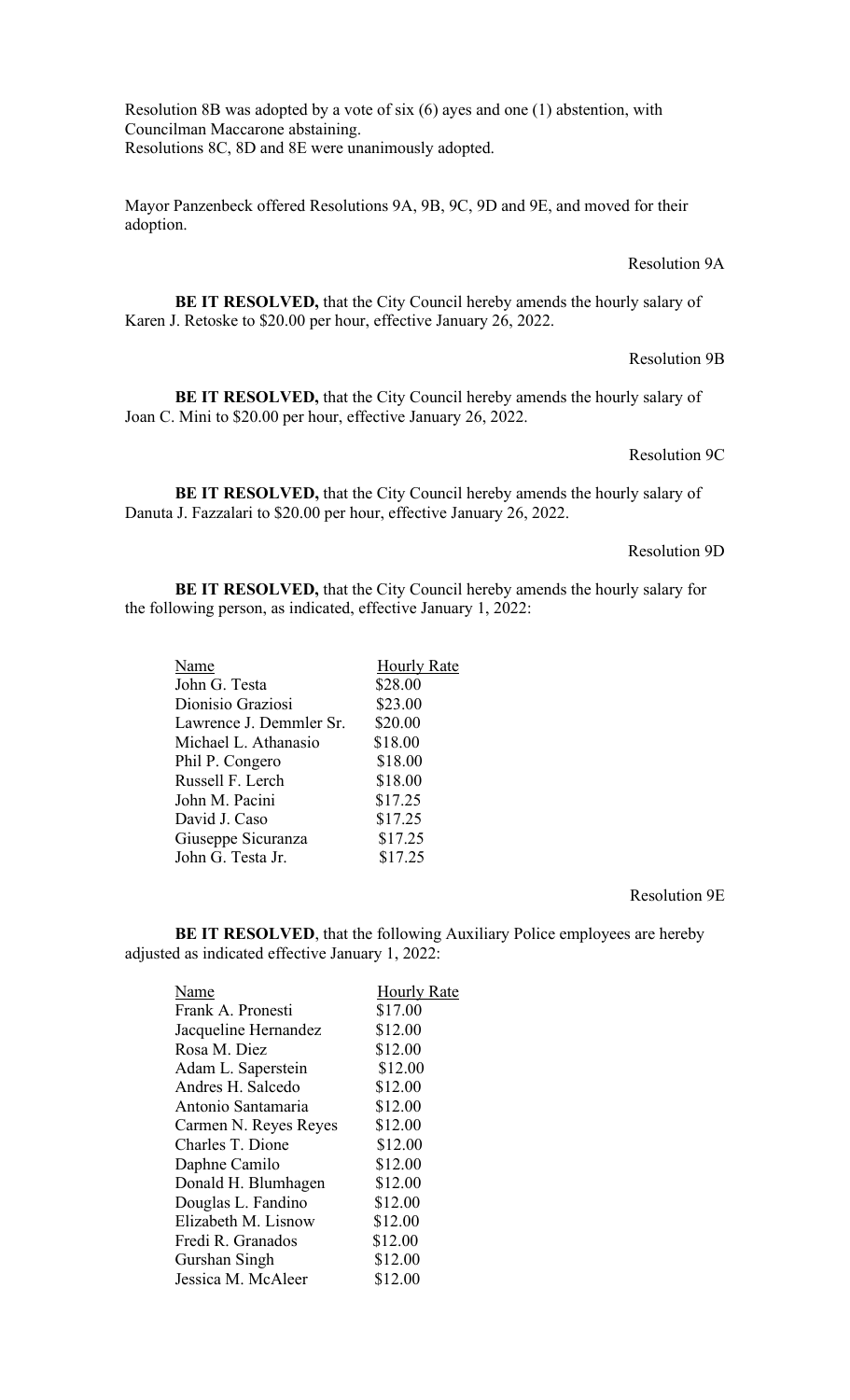Resolution 8B was adopted by a vote of six (6) ayes and one (1) abstention, with Councilman Maccarone abstaining. Resolutions 8C, 8D and 8E were unanimously adopted.

Mayor Panzenbeck offered Resolutions 9A, 9B, 9C, 9D and 9E, and moved for their adoption.

# Resolution 9A

BE IT RESOLVED, that the City Council hereby amends the hourly salary of Karen J. Retoske to \$20.00 per hour, effective January 26, 2022.

#### Resolution 9B

**BE IT RESOLVED,** that the City Council hereby amends the hourly salary of Joan C. Mini to \$20.00 per hour, effective January 26, 2022.

# Resolution 9C

**BE IT RESOLVED,** that the City Council hereby amends the hourly salary of Danuta J. Fazzalari to \$20.00 per hour, effective January 26, 2022.

## Resolution 9D

**BE IT RESOLVED,** that the City Council hereby amends the hourly salary for the following person, as indicated, effective January 1, 2022:

| Name                    | <b>Hourly Rate</b> |
|-------------------------|--------------------|
| John G. Testa           | \$28.00            |
| Dionisio Graziosi       | \$23.00            |
| Lawrence J. Demmler Sr. | \$20.00            |
| Michael L. Athanasio    | \$18.00            |
| Phil P. Congero         | \$18.00            |
| Russell F. Lerch        | \$18.00            |
| John M. Pacini          | \$17.25            |
| David J. Caso           | \$17.25            |
| Giuseppe Sicuranza      | \$17.25            |
| John G. Testa Jr.       | \$17.25            |
|                         |                    |

### Resolution 9E

**BE IT RESOLVED**, that the following Auxiliary Police employees are hereby adjusted as indicated effective January 1, 2022:

| Name                  | <b>Hourly Rate</b> |
|-----------------------|--------------------|
| Frank A. Pronesti     | \$17.00            |
| Jacqueline Hernandez  | \$12.00            |
| Rosa M. Diez          | \$12.00            |
| Adam L. Saperstein    | \$12.00            |
| Andres H. Salcedo     | \$12.00            |
| Antonio Santamaria    | \$12.00            |
| Carmen N. Reyes Reyes | \$12.00            |
| Charles T. Dione      | \$12.00            |
| Daphne Camilo         | \$12.00            |
| Donald H. Blumhagen   | \$12.00            |
| Douglas L. Fandino    | \$12.00            |
| Elizabeth M. Lisnow   | \$12.00            |
| Fredi R. Granados     | \$12.00            |
| Gurshan Singh         | \$12.00            |
| Jessica M. McAleer    | \$12.00            |